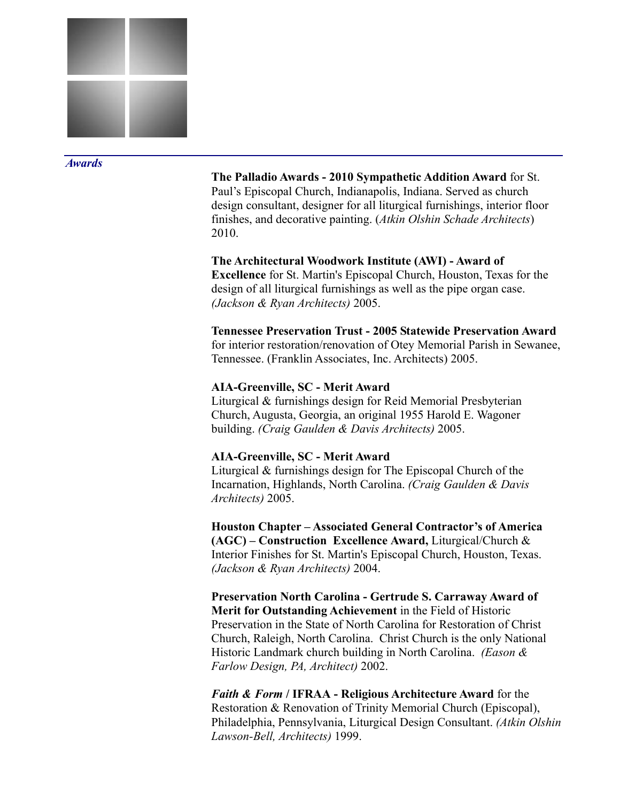

#### *Awards*

**The Palladio Awards - 2010 Sympathetic Addition Award** for St. Paul's Episcopal Church, Indianapolis, Indiana. Served as church design consultant, designer for all liturgical furnishings, interior floor finishes, and decorative painting. (*Atkin Olshin Schade Architects*) 2010.

#### **The Architectural Woodwork Institute (AWI) - Award of**

**Excellence** for St. Martin's Episcopal Church, Houston, Texas for the design of all liturgical furnishings as well as the pipe organ case. *(Jackson & Ryan Architects)* 2005.

# **Tennessee Preservation Trust - 2005 Statewide Preservation Award**

for interior restoration/renovation of Otey Memorial Parish in Sewanee, Tennessee. (Franklin Associates, Inc. Architects) 2005.

### **AIA-Greenville, SC - Merit Award**

Liturgical & furnishings design for Reid Memorial Presbyterian Church, Augusta, Georgia, an original 1955 Harold E. Wagoner building. *(Craig Gaulden & Davis Architects)* 2005.

# **AIA-Greenville, SC - Merit Award**

Liturgical & furnishings design for The Episcopal Church of the Incarnation, Highlands, North Carolina. *(Craig Gaulden & Davis Architects)* 2005.

**Houston Chapter – Associated General Contractor's of America (AGC) – Construction Excellence Award,** Liturgical/Church & Interior Finishes for St. Martin's Episcopal Church, Houston, Texas. *(Jackson & Ryan Architects)* 2004.

**Preservation North Carolina - Gertrude S. Carraway Award of Merit for Outstanding Achievement** in the Field of Historic Preservation in the State of North Carolina for Restoration of Christ Church, Raleigh, North Carolina. Christ Church is the only National Historic Landmark church building in North Carolina. *(Eason & Farlow Design, PA, Architect)* 2002.

*Faith & Form* **/ IFRAA - Religious Architecture Award** for the Restoration & Renovation of Trinity Memorial Church (Episcopal), Philadelphia, Pennsylvania, Liturgical Design Consultant. *(Atkin Olshin Lawson-Bell, Architects)* 1999.